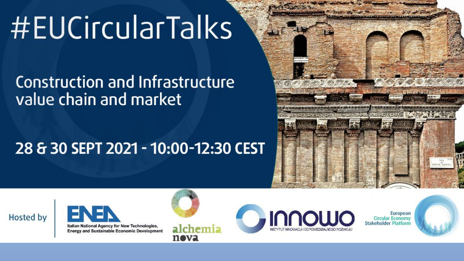# #EUCircularTalks

## Construction and Infrastructure value chain and market

## 28 & 30 SEPT 2021 - 10:00-12:30 CEST







Italian National Agency for New Technologies, **Energy and Sustainable Economic Development** 



alchemia neva



European **Circular Economy Stakeholder Platform** 

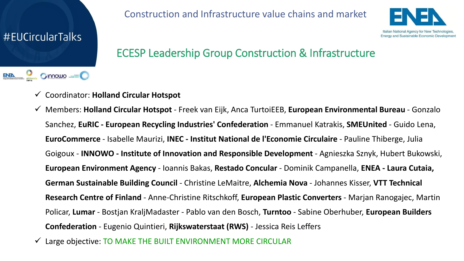

#### Construction and Infrastructure value chains and market



#### ECESP Leadership Group Construction & Infrastructure

- ✓ Coordinator: **Holland Circular Hotspot**
- ✓ Members: **Holland Circular Hotspot**  Freek van Eijk, Anca TurtoiEEB, **European Environmental Bureau** Gonzalo Sanchez, **EuRIC - European Recycling Industries' Confederation** - Emmanuel Katrakis, **SMEUnited** - Guido Lena, **EuroCommerce** - Isabelle Maurizi, **INEC - Institut National de l'Economie Circulaire** - Pauline Thiberge, Julia Goigoux - **INNOWO - Institute of Innovation and Responsible Development** - Agnieszka Sznyk, Hubert Bukowski, **European Environment Agency** - Ioannis Bakas, **Restado Concular** - Dominik Campanella, **ENEA - Laura Cutaia, German Sustainable Building Council** - Christine LeMaitre, **Alchemia Nova** - Johannes Kisser, **VTT Technical Research Centre of Finland** - Anne-Christine Ritschkoff, **European Plastic Converters** - Marjan Ranogajec, Martin Policar, **Lumar** - Bostjan KraljMadaster - Pablo van den Bosch, **Turntoo** - Sabine Oberhuber, **European Builders Confederation** - Eugenio Quintieri, **Rijkswaterstaat (RWS)** - Jessica Reis Leffers
- Large objective: TO MAKE THE BUILT ENVIRONMENT MORE CIRCULAR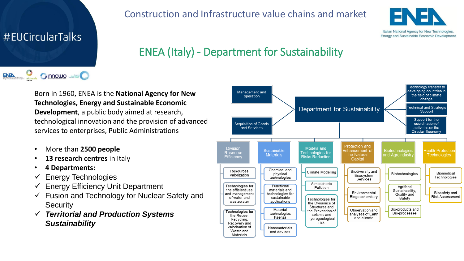#### #EUCircularTalks

ENEN

#### Construction and Infrastructure value chains and market



Energy and Sustainable Economic Development

#### ENEA (Italy) - Department for Sustainability

Born in 1960, ENEA is the **National Agency for New Technologies, Energy and Sustainable Economic Development**, a public body aimed at research, technological innovation and the provision of advanced services to enterprises, Public Administrations

- More than **2500 people**
- **13 research centres** in Italy
- **4 Departments:**

 $O$  innowe  $=$ 

- $\checkmark$  Energy Technologies
- $\checkmark$  Energy Efficiency Unit Department
- $\checkmark$  Fusion and Technology for Nuclear Safety and **Security**
- ✓ *Territorial and Production Systems Sustainability*

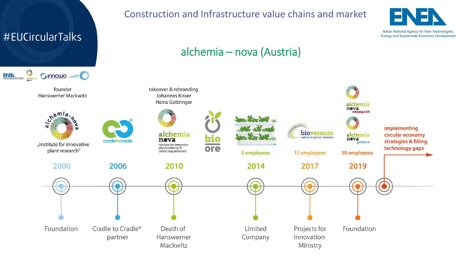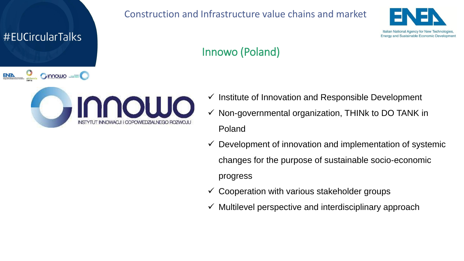#EUCircularTalks

**ENEN** 

**Onnoulo** 

#### Construction and Infrastructure value chains and market



#### Innowo (Poland)



- $\checkmark$  Institute of Innovation and Responsible Development
- $\checkmark$  Non-governmental organization, THINK to DO TANK in Poland
- $\checkmark$  Development of innovation and implementation of systemic changes for the purpose of sustainable socio-economic progress
- $\checkmark$  Cooperation with various stakeholder groups
- $\checkmark$  Multilevel perspective and interdisciplinary approach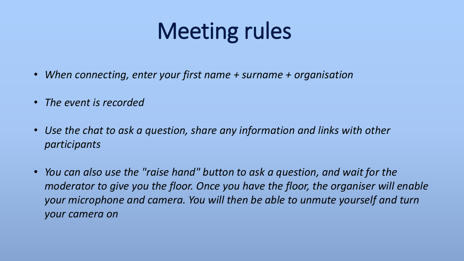## Meeting rules

- *When connecting, enter your first name + surname + organisation*
- *The event is recorded*
- *Use the chat to ask a question, share any information and links with other participants*
- *You can also use the "raise hand" button to ask a question, and wait for the moderator to give you the floor. Once you have the floor, the organiser will enable your microphone and camera. You will then be able to unmute yourself and turn your camera on*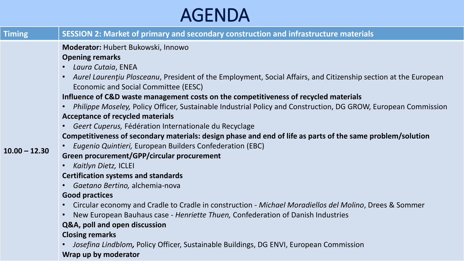## AGENDA

| <b>Timing</b>   | SESSION 2: Market of primary and secondary construction and infrastructure materials                                                                                 |
|-----------------|----------------------------------------------------------------------------------------------------------------------------------------------------------------------|
| $10.00 - 12.30$ | Moderator: Hubert Bukowski, Innowo                                                                                                                                   |
|                 | <b>Opening remarks</b>                                                                                                                                               |
|                 | • Laura Cutaia, ENEA                                                                                                                                                 |
|                 | Aurel Laurentiu Plosceanu, President of the Employment, Social Affairs, and Citizenship section at the European<br>$\bullet$<br>Economic and Social Committee (EESC) |
|                 | Influence of C&D waste management costs on the competitiveness of recycled materials                                                                                 |
|                 | Philippe Moseley, Policy Officer, Sustainable Industrial Policy and Construction, DG GROW, European Commission                                                       |
|                 | <b>Acceptance of recycled materials</b>                                                                                                                              |
|                 | Geert Cuperus, Fédération Internationale du Recyclage                                                                                                                |
|                 | Competitiveness of secondary materials: design phase and end of life as parts of the same problem/solution                                                           |
|                 | Eugenio Quintieri, European Builders Confederation (EBC)                                                                                                             |
|                 | Green procurement/GPP/circular procurement                                                                                                                           |
|                 | Kaitlyn Dietz, ICLEI                                                                                                                                                 |
|                 | <b>Certification systems and standards</b>                                                                                                                           |
|                 | Gaetano Bertino, alchemia-nova<br>$\bullet$                                                                                                                          |
|                 | <b>Good practices</b>                                                                                                                                                |
|                 | • Circular economy and Cradle to Cradle in construction - Michael Moradiellos del Molino, Drees & Sommer                                                             |
|                 | New European Bauhaus case - Henriette Thuen, Confederation of Danish Industries                                                                                      |
|                 | Q&A, poll and open discussion                                                                                                                                        |
|                 | <b>Closing remarks</b>                                                                                                                                               |
|                 | Josefina Lindblom, Policy Officer, Sustainable Buildings, DG ENVI, European Commission                                                                               |
|                 | Wrap up by moderator                                                                                                                                                 |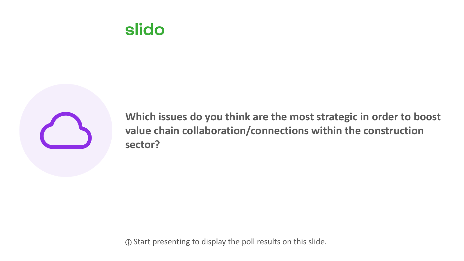### **slido**



**Which issues do you think are the most strategic in order to boost value chain collaboration/connections within the construction sector?**

ⓘ Start presenting to display the poll results on this slide.